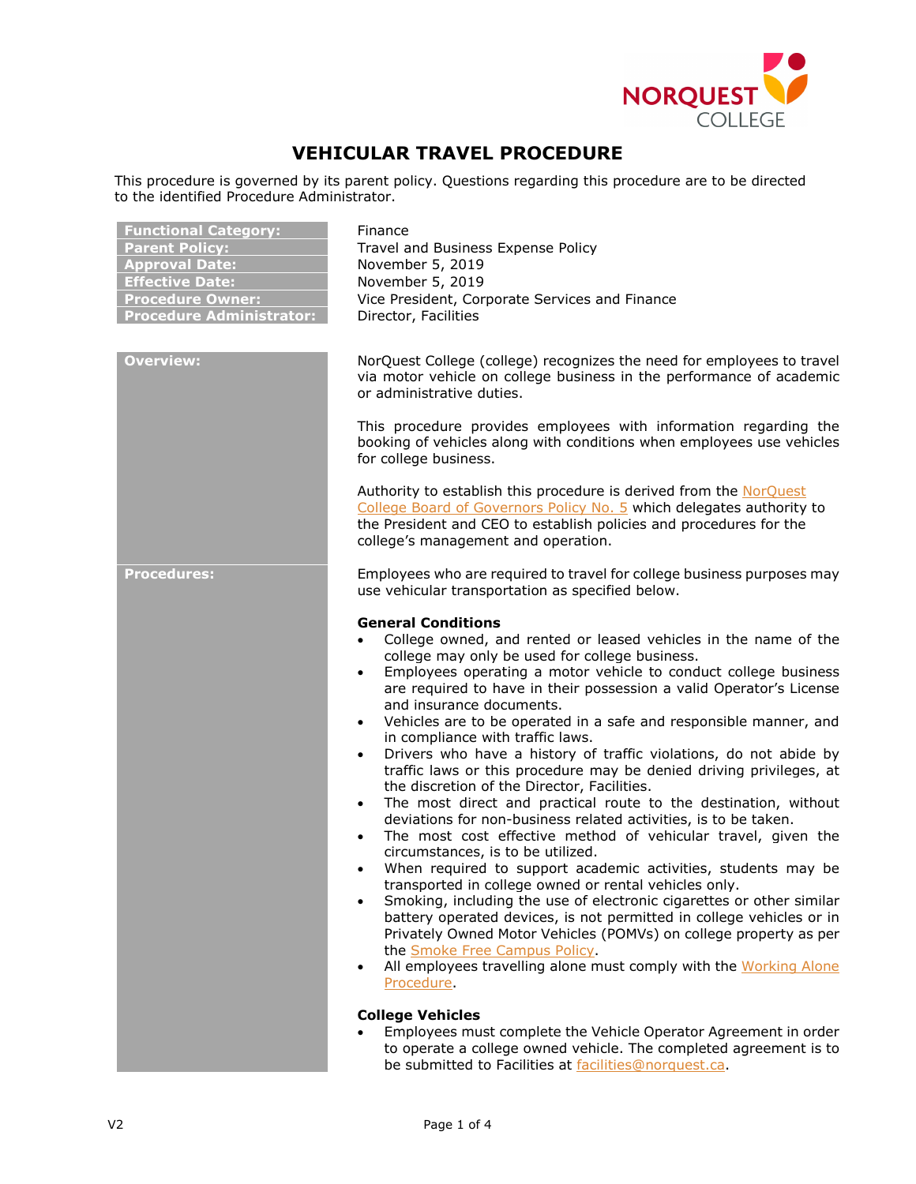

# **VEHICULAR TRAVEL PROCEDURE**

This procedure is governed by its parent policy. Questions regarding this procedure are to be directed to the identified Procedure Administrator.

| <b>Overview:</b><br>NorQuest College (college) recognizes the need for employees to travel<br>via motor vehicle on college business in the performance of academic<br>or administrative duties.<br>This procedure provides employees with information regarding the<br>booking of vehicles along with conditions when employees use vehicles<br>for college business.<br>Authority to establish this procedure is derived from the NorQuest<br>College Board of Governors Policy No. 5 which delegates authority to<br>the President and CEO to establish policies and procedures for the<br>college's management and operation.<br>Employees who are required to travel for college business purposes may<br><b>Procedures:</b><br>use vehicular transportation as specified below.<br><b>General Conditions</b><br>College owned, and rented or leased vehicles in the name of the<br>college may only be used for college business.<br>Employees operating a motor vehicle to conduct college business<br>$\bullet$<br>are required to have in their possession a valid Operator's License<br>and insurance documents.<br>Vehicles are to be operated in a safe and responsible manner, and<br>$\bullet$<br>in compliance with traffic laws.<br>Drivers who have a history of traffic violations, do not abide by<br>$\bullet$<br>traffic laws or this procedure may be denied driving privileges, at<br>the discretion of the Director, Facilities.<br>The most direct and practical route to the destination, without<br>$\bullet$<br>deviations for non-business related activities, is to be taken.<br>The most cost effective method of vehicular travel, given the<br>$\bullet$<br>circumstances, is to be utilized.<br>When required to support academic activities, students may be<br>$\bullet$<br>transported in college owned or rental vehicles only.<br>Smoking, including the use of electronic cigarettes or other similar<br>battery operated devices, is not permitted in college vehicles or in<br>Privately Owned Motor Vehicles (POMVs) on college property as per<br>the Smoke Free Campus Policy.<br>All employees travelling alone must comply with the Working Alone<br>$\bullet$<br>Procedure.<br><b>College Vehicles</b> | <b>Functional Category:</b><br><b>Parent Policy:</b><br><b>Approval Date:</b><br><b>Effective Date:</b><br><b>Procedure Owner:</b><br><b>Procedure Administrator:</b> | Finance<br>Travel and Business Expense Policy<br>November 5, 2019<br>November 5, 2019<br>Vice President, Corporate Services and Finance<br>Director, Facilities |
|-------------------------------------------------------------------------------------------------------------------------------------------------------------------------------------------------------------------------------------------------------------------------------------------------------------------------------------------------------------------------------------------------------------------------------------------------------------------------------------------------------------------------------------------------------------------------------------------------------------------------------------------------------------------------------------------------------------------------------------------------------------------------------------------------------------------------------------------------------------------------------------------------------------------------------------------------------------------------------------------------------------------------------------------------------------------------------------------------------------------------------------------------------------------------------------------------------------------------------------------------------------------------------------------------------------------------------------------------------------------------------------------------------------------------------------------------------------------------------------------------------------------------------------------------------------------------------------------------------------------------------------------------------------------------------------------------------------------------------------------------------------------------------------------------------------------------------------------------------------------------------------------------------------------------------------------------------------------------------------------------------------------------------------------------------------------------------------------------------------------------------------------------------------------------------------------------------------------------------------------------------|-----------------------------------------------------------------------------------------------------------------------------------------------------------------------|-----------------------------------------------------------------------------------------------------------------------------------------------------------------|
|                                                                                                                                                                                                                                                                                                                                                                                                                                                                                                                                                                                                                                                                                                                                                                                                                                                                                                                                                                                                                                                                                                                                                                                                                                                                                                                                                                                                                                                                                                                                                                                                                                                                                                                                                                                                                                                                                                                                                                                                                                                                                                                                                                                                                                                       |                                                                                                                                                                       |                                                                                                                                                                 |
| to operate a college owned vehicle. The completed agreement is to                                                                                                                                                                                                                                                                                                                                                                                                                                                                                                                                                                                                                                                                                                                                                                                                                                                                                                                                                                                                                                                                                                                                                                                                                                                                                                                                                                                                                                                                                                                                                                                                                                                                                                                                                                                                                                                                                                                                                                                                                                                                                                                                                                                     |                                                                                                                                                                       | Employees must complete the Vehicle Operator Agreement in order                                                                                                 |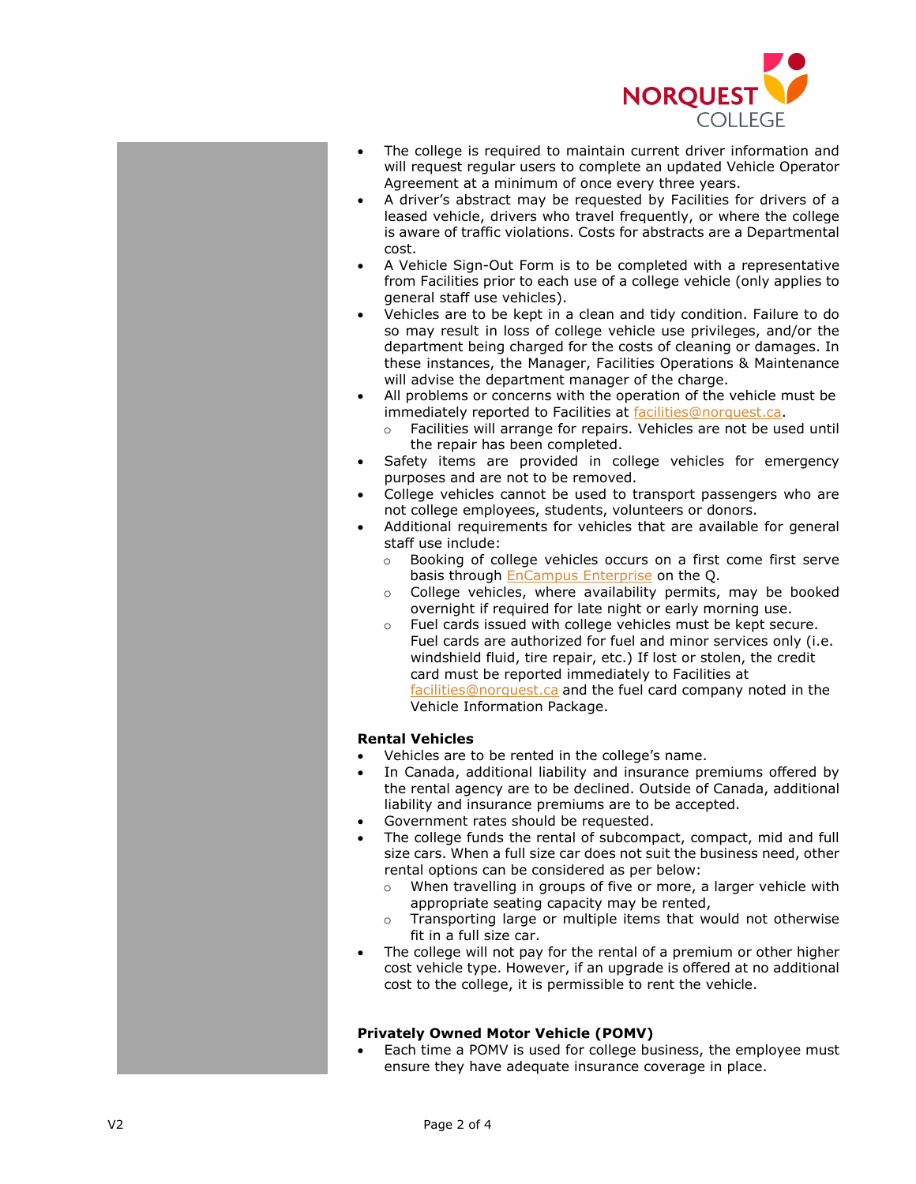

- The college is required to maintain current driver information and will request regular users to complete an updated Vehicle Operator Agreement at a minimum of once every three years.
- A driver's abstract may be requested by Facilities for drivers of a leased vehicle, drivers who travel frequently, or where the college is aware of traffic violations. Costs for abstracts are a Departmental cost.
- A [Vehicle Sign](https://rs-a101/resourcescheduler/Vehicle%20Condition%20Form.pdf)-Out Form is to be completed with a representative from Facilities prior to each use of a college vehicle (only applies to general staff use vehicles).
- Vehicles are to be kept in a clean and tidy condition. Failure to do so may result in loss of college vehicle use privileges, and/or the department being charged for the costs of cleaning or damages. In these instances, the Manager, Facilities Operations & Maintenance will advise the department manager of the charge.
- All problems or concerns with the operation of the vehicle must be immediately reported to Facilities at [facilities@norquest.ca](mailto:facilities@norquest.ca).
	- o Facilities will arrange for repairs. Vehicles are not be used until the repair has been completed.
- Safety items are provided in college vehicles for emergency purposes and are not to be removed.
- College vehicles cannot be used to transport passengers who are not college employees, students, volunteers or donors.
- Additional requirements for vehicles that are available for general staff use include:
	- o Booking of college vehicle s occurs on a first come first serve basis through [EnCampus Enterprise](https://theq.norquest.ca/Social-Hub/News/2017/Booking-a-room-for-a-meeting-or-event-Here-s-what.aspx) on the Q.
	- o College vehicles, where availability permits, may be booked overnight if required for late night or early morning use.
	- o Fuel cards issued with college vehicles must be kept secure. Fuel cards are authorized for fuel and minor services only (i.e. windshield fluid, tire repair, etc.) If lost or stolen, the credit card must be reported immediately to Facilities at [facilities@norquest.ca](mailto:facilities@norquest.ca) and the fuel card company noted in the Vehicle Information Package .

## **Rental Vehicles**

- Vehicles are to be rented in the college's name.
- In Canada, additional liability and insurance premiums offered by the rental agency are to be declined. Outside of Canada, additional liability and insurance premiums are to be accepted.
- Government rates should be requested.
- The college funds the rental of subcompact, compact, mid and full size cars. When a full size car does not suit the business need, other rental options can be considered as per below:
	- o When travelling in groups of five or more, a larger vehicle with appropriate seating capacity may be rented,
	- o Transporting large or multiple items that would not otherwise fit in a full size car.
- The college will not pay for the rental of a premium or other higher cost vehicle type. However, if an upgrade is offered at no additional cost to the college, it is permissible to rent the vehicle .

# **Privately Owned Motor Vehicle (POMV)**

Each time a POMV is used for college business, the employee must ensure they have adequate insurance coverage in place.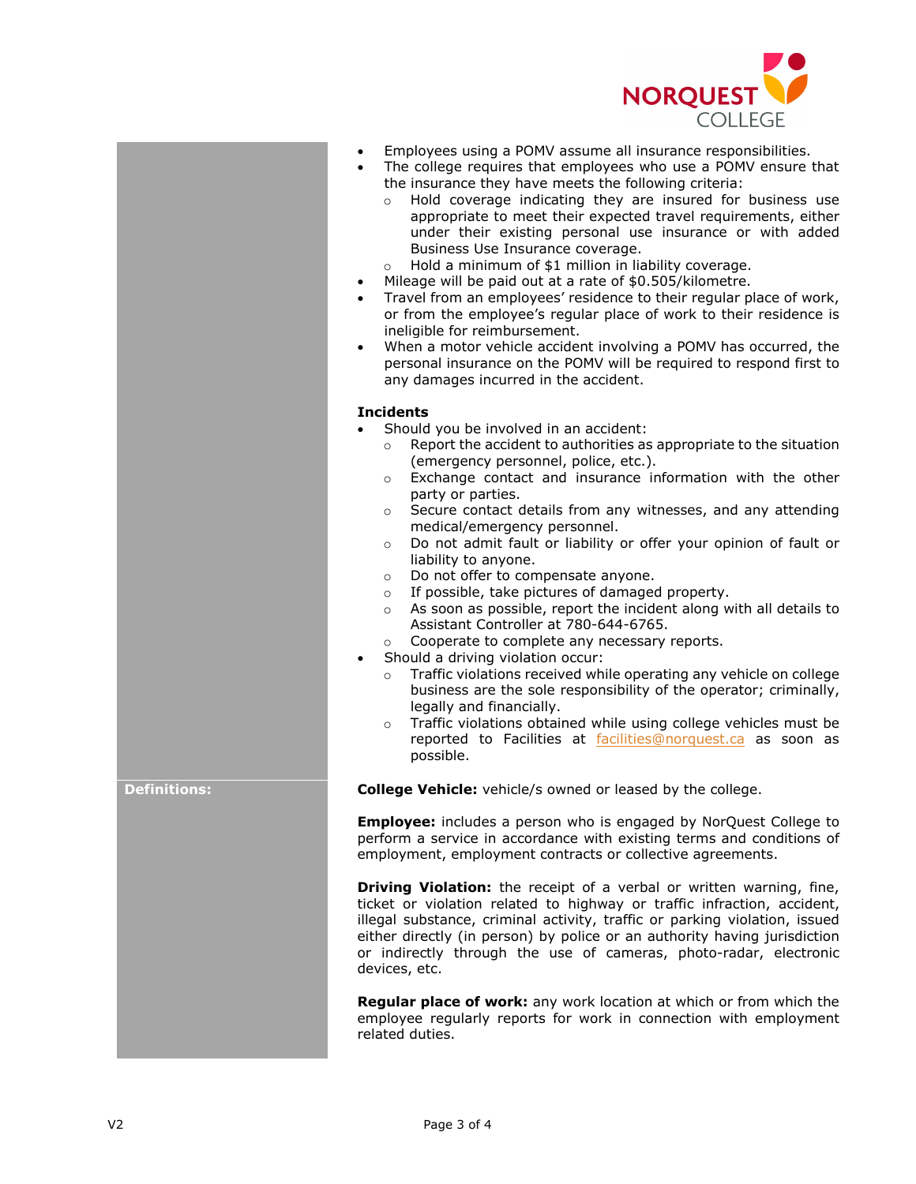

- Employees using a POMV assume all insurance responsibilities.
- The college requires that employees who use a POMV ensure that the insurance they have meets the following criteria:
	- o Hold coverage indicating they are insured for business use appropriate to meet their expected travel requirements, either under their existing personal use insurance or with added Business Use Insurance coverage.
	- o Hold a minimum of \$1 million in liability coverage.
- Mileage will be paid out at a rate of \$0.505/kilometre.
- Travel from an employees' residence to their regular place of work, or from the employee's regular place of work to their residence is ineligible for reimbursement.
- When a motor vehicle accident involving a POMV has occurred, the personal insurance on the POMV will be required to respond first to any damages incurred in the accident.

### **Incidents**

- Should you be involved in an accident:
	- o Report the accident to authorities as appropriate to the situation (emergency personnel, police, etc.).
	- o Exchange contact and insurance information with the other party or parties.
	- o Secure contact details from any witnesses, and any attending medical/emergency personnel.
	- o Do not admit fault or liability or offer your opinion of fault or liability to anyone.
	- o Do not offer to compensate anyone.
	- $\circ$  If possible, take pictures of damaged property.<br> $\circ$  As soon as possible, report the incident along w
	- As soon as possible, report the incident along with all details to Assistant Controller at 780-644-6765.
	- o Cooperate to complete any necessary reports.
- Should a driving violation occur:
	- o Traffic violations received while operating any vehicle on college business are the sole responsibility of the operator; criminally, legally and financially.
	- o Traffic violations obtained while using college vehicles must be reported to Facilities at [facilities@norquest.ca](mailto:facilities@norquest.ca) as soon as possible.

**Definitions: College Vehicle:** vehicle/s owned or leased by the college.

**Employee:** includes a person who is engaged by NorQuest College to perform a service in accordance with existing terms and conditions of employment, employment contracts or collective agreements.

**Driving Violation:** the receipt of a verbal or written warning, fine, ticket or violation related to highway or traffic infraction, accident, illegal substance, criminal activity, traffic or parking violation, issued either directly (in person) by police or an authority having jurisdiction or indirectly through the use of cameras, photo-radar, electronic devices, etc.

**Regular place of work:** any work location at which or from which the employee regularly reports for work in connection with employment related duties.